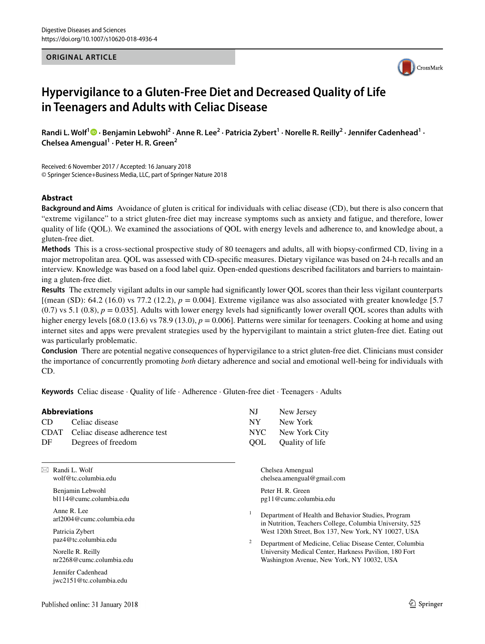#### **ORIGINAL ARTICLE**



# **Hypervigilance to a Gluten‑Free Diet and Decreased Quality of Life in Teenagers and Adults with Celiac Disease**

RandiL. Wolf<sup>1</sup> <sup>D</sup> · Benjamin Lebwohl<sup>2</sup> · Anne R. Lee<sup>2</sup> · Patricia Zybert<sup>1</sup> · Norelle R. Reilly<sup>2</sup> · Jennifer Cadenhead<sup>1</sup> · **Chelsea Amengual1 · Peter H. R. Green<sup>2</sup>**

Received: 6 November 2017 / Accepted: 16 January 2018 © Springer Science+Business Media, LLC, part of Springer Nature 2018

#### **Abstract**

**Background and Aims** Avoidance of gluten is critical for individuals with celiac disease (CD), but there is also concern that "extreme vigilance" to a strict gluten-free diet may increase symptoms such as anxiety and fatigue, and therefore, lower quality of life (QOL). We examined the associations of QOL with energy levels and adherence to, and knowledge about, a gluten-free diet.

**Methods** This is a cross-sectional prospective study of 80 teenagers and adults, all with biopsy-confrmed CD, living in a major metropolitan area. QOL was assessed with CD-specifc measures. Dietary vigilance was based on 24-h recalls and an interview. Knowledge was based on a food label quiz. Open-ended questions described facilitators and barriers to maintaining a gluten-free diet.

**Results** The extremely vigilant adults in our sample had signifcantly lower QOL scores than their less vigilant counterparts [(mean (SD): 64.2 (16.0) vs 77.2 (12.2), *p* = 0.004]. Extreme vigilance was also associated with greater knowledge [5.7  $(0.7)$  vs 5.1  $(0.8)$ ,  $p = 0.035$ ]. Adults with lower energy levels had significantly lower overall QOL scores than adults with higher energy levels  $[68.0 (13.6)$  vs 78.9  $(13.0)$ ,  $p = 0.006$ ]. Patterns were similar for teenagers. Cooking at home and using internet sites and apps were prevalent strategies used by the hypervigilant to maintain a strict gluten-free diet. Eating out was particularly problematic.

**Conclusion** There are potential negative consequences of hypervigilance to a strict gluten-free diet. Clinicians must consider the importance of concurrently promoting *both* dietary adherence and social and emotional well-being for individuals with CD.

**Keywords** Celiac disease · Quality of life · Adherence · Gluten-free diet · Teenagers · Adults

#### **Abbreviations**

| CD | Celiac disease                     |
|----|------------------------------------|
|    | CDAT Celiac disease adherence test |
| DF | Degrees of freedom                 |

 $\boxtimes$  Randi L. Wolf wolf@tc.columbia.edu

> Benjamin Lebwohl bl114@cumc.columbia.edu

Anne R. Lee arl2004@cumc.columbia.edu

Patricia Zybert paz4@tc.columbia.edu

Norelle R. Reilly nr2268@cumc.columbia.edu

Jennifer Cadenhead jwc2151@tc.columbia.edu

| NJ  | New Jersey      |
|-----|-----------------|
| NY  | New York        |
| NYC | New York City   |
| OOL | Quality of life |

Chelsea Amengual chelsea.amengual@gmail.com

Peter H. R. Green pg11@cumc.columbia.edu

- <sup>1</sup> Department of Health and Behavior Studies, Program in Nutrition, Teachers College, Columbia University, 525 West 120th Street, Box 137, New York, NY 10027, USA
- <sup>2</sup> Department of Medicine, Celiac Disease Center, Columbia University Medical Center, Harkness Pavilion, 180 Fort Washington Avenue, New York, NY 10032, USA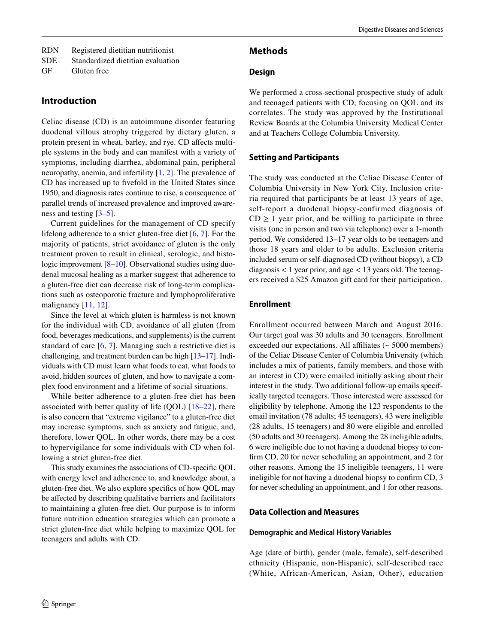| <b>RDN</b> |  | Registered dietitian nutritionist |
|------------|--|-----------------------------------|
|------------|--|-----------------------------------|

GF Gluten free

## **Introduction**

Celiac disease (CD) is an autoimmune disorder featuring duodenal villous atrophy triggered by dietary gluten, a protein present in wheat, barley, and rye. CD affects multiple systems in the body and can manifest with a variety of symptoms, including diarrhea, abdominal pain, peripheral neuropathy, anemia, and infertility [\[1,](#page-9-0) [2](#page-9-1)]. The prevalence of CD has increased up to fvefold in the United States since 1950, and diagnosis rates continue to rise, a consequence of parallel trends of increased prevalence and improved awareness and testing [[3–](#page-9-2)[5\]](#page-10-0).

Current guidelines for the management of CD specify lifelong adherence to a strict gluten-free diet [[6,](#page-10-1) [7\]](#page-10-2). For the majority of patients, strict avoidance of gluten is the only treatment proven to result in clinical, serologic, and histo-logic improvement [\[8](#page-10-3)[–10](#page-10-4)]. Observational studies using duodenal mucosal healing as a marker suggest that adherence to a gluten-free diet can decrease risk of long-term complications such as osteoporotic fracture and lymphoproliferative malignancy [[11](#page-10-5), [12](#page-10-6)].

Since the level at which gluten is harmless is not known for the individual with CD, avoidance of all gluten (from food, beverages medications, and supplements) is the current standard of care [[6](#page-10-1), [7\]](#page-10-2). Managing such a restrictive diet is challenging, and treatment burden can be high [\[13](#page-10-7)[–17](#page-10-8)]. Individuals with CD must learn what foods to eat, what foods to avoid, hidden sources of gluten, and how to navigate a complex food environment and a lifetime of social situations.

While better adherence to a gluten-free diet has been associated with better quality of life  $(QOL)$  [[18–](#page-10-9)[22](#page-10-10)], there is also concern that "extreme vigilance" to a gluten-free diet may increase symptoms, such as anxiety and fatigue, and, therefore, lower QOL. In other words, there may be a cost to hypervigilance for some individuals with CD when following a strict gluten-free diet.

This study examines the associations of CD-specifc QOL with energy level and adherence to, and knowledge about, a gluten-free diet. We also explore specifcs of how QOL may be affected by describing qualitative barriers and facilitators to maintaining a gluten-free diet. Our purpose is to inform future nutrition education strategies which can promote a strict gluten-free diet while helping to maximize QOL for teenagers and adults with CD.

### **Methods**

## **Design**

We performed a cross-sectional prospective study of adult and teenaged patients with CD, focusing on QOL and its correlates. The study was approved by the Institutional Review Boards at the Columbia University Medical Center and at Teachers College Columbia University.

## **Setting and Participants**

The study was conducted at the Celiac Disease Center of Columbia University in New York City. Inclusion criteria required that participants be at least 13 years of age, self-report a duodenal biopsy-confirmed diagnosis of  $CD \geq 1$  year prior, and be willing to participate in three visits (one in person and two via telephone) over a 1-month period. We considered 13–17 year olds to be teenagers and those 18 years and older to be adults. Exclusion criteria included serum or self-diagnosed CD (without biopsy), a CD diagnosis  $< 1$  year prior, and age  $< 13$  years old. The teenagers received a \$25 Amazon gift card for their participation.

## **Enrollment**

Enrollment occurred between March and August 2016. Our target goal was 30 adults and 30 teenagers. Enrollment exceeded our expectations. All affiliates (~ 5000 members) of the Celiac Disease Center of Columbia University (which includes a mix of patients, family members, and those with an interest in CD) were emailed initially asking about their interest in the study. Two additional follow-up emails specifically targeted teenagers. Those interested were assessed for eligibility by telephone. Among the 123 respondents to the email invitation (78 adults; 45 teenagers), 43 were ineligible (28 adults, 15 teenagers) and 80 were eligible and enrolled (50 adults and 30 teenagers). Among the 28 ineligible adults, 6 were ineligible due to not having a duodenal biopsy to confrm CD, 20 for never scheduling an appointment, and 2 for other reasons. Among the 15 ineligible teenagers, 11 were ineligible for not having a duodenal biopsy to confrm CD, 3 for never scheduling an appointment, and 1 for other reasons.

## **Data Collection and Measures**

## **Demographic and Medical History Variables**

Age (date of birth), gender (male, female), self-described ethnicity (Hispanic, non-Hispanic), self-described race (White, African-American, Asian, Other), education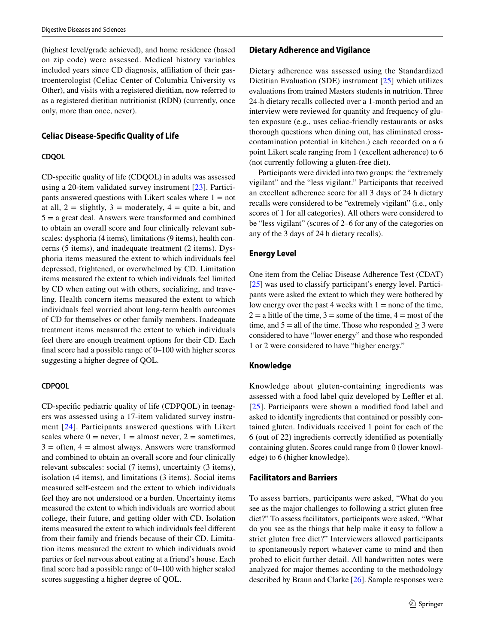(highest level/grade achieved), and home residence (based on zip code) were assessed. Medical history variables included years since CD diagnosis, affiliation of their gastroenterologist (Celiac Center of Columbia University vs Other), and visits with a registered dietitian, now referred to as a registered dietitian nutritionist (RDN) (currently, once only, more than once, never).

#### **Celiac Disease‑Specifc Quality of Life**

#### **CDQOL**

CD-specifc quality of life (CDQOL) in adults was assessed using a 20-item validated survey instrument [\[23\]](#page-10-11). Participants answered questions with Likert scales where  $1 = not$ at all,  $2 =$  slightly,  $3 =$  moderately,  $4 =$  quite a bit, and  $5 = a$  great deal. Answers were transformed and combined to obtain an overall score and four clinically relevant subscales: dysphoria (4 items), limitations (9 items), health concerns (5 items), and inadequate treatment (2 items). Dysphoria items measured the extent to which individuals feel depressed, frightened, or overwhelmed by CD. Limitation items measured the extent to which individuals feel limited by CD when eating out with others, socializing, and traveling. Health concern items measured the extent to which individuals feel worried about long-term health outcomes of CD for themselves or other family members. Inadequate treatment items measured the extent to which individuals feel there are enough treatment options for their CD. Each fnal score had a possible range of 0–100 with higher scores suggesting a higher degree of QOL.

#### **CDPQOL**

CD-specifc pediatric quality of life (CDPQOL) in teenagers was assessed using a 17-item validated survey instrument [\[24\]](#page-10-12). Participants answered questions with Likert scales where  $0 =$  never,  $1 =$  almost never,  $2 =$  sometimes,  $3 =$  often,  $4 =$  almost always. Answers were transformed and combined to obtain an overall score and four clinically relevant subscales: social (7 items), uncertainty (3 items), isolation (4 items), and limitations (3 items). Social items measured self-esteem and the extent to which individuals feel they are not understood or a burden. Uncertainty items measured the extent to which individuals are worried about college, their future, and getting older with CD. Isolation items measured the extent to which individuals feel diferent from their family and friends because of their CD. Limitation items measured the extent to which individuals avoid parties or feel nervous about eating at a friend's house. Each fnal score had a possible range of 0–100 with higher scaled scores suggesting a higher degree of QOL.

#### **Dietary Adherence and Vigilance**

Dietary adherence was assessed using the Standardized Dietitian Evaluation (SDE) instrument [[25\]](#page-10-13) which utilizes evaluations from trained Masters students in nutrition. Three 24-h dietary recalls collected over a 1-month period and an interview were reviewed for quantity and frequency of gluten exposure (e.g., uses celiac-friendly restaurants or asks thorough questions when dining out, has eliminated crosscontamination potential in kitchen.) each recorded on a 6 point Likert scale ranging from 1 (excellent adherence) to 6 (not currently following a gluten-free diet).

Participants were divided into two groups: the "extremely vigilant" and the "less vigilant." Participants that received an excellent adherence score for all 3 days of 24 h dietary recalls were considered to be "extremely vigilant" (i.e., only scores of 1 for all categories). All others were considered to be "less vigilant" (scores of 2–6 for any of the categories on any of the 3 days of 24 h dietary recalls).

#### **Energy Level**

One item from the Celiac Disease Adherence Test (CDAT) [[25\]](#page-10-13) was used to classify participant's energy level. Participants were asked the extent to which they were bothered by low energy over the past 4 weeks with  $1 =$  none of the time,  $2 =$  a little of the time,  $3 =$ some of the time,  $4 =$ most of the time, and  $5 =$  all of the time. Those who responded  $\geq 3$  were considered to have "lower energy" and those who responded 1 or 2 were considered to have "higher energy."

#### **Knowledge**

Knowledge about gluten-containing ingredients was assessed with a food label quiz developed by Leffler et al. [[25](#page-10-13)]. Participants were shown a modifed food label and asked to identify ingredients that contained or possibly contained gluten. Individuals received 1 point for each of the 6 (out of 22) ingredients correctly identifed as potentially containing gluten. Scores could range from 0 (lower knowledge) to 6 (higher knowledge).

#### **Facilitators and Barriers**

To assess barriers, participants were asked, "What do you see as the major challenges to following a strict gluten free diet?" To assess facilitators, participants were asked, "What do you see as the things that help make it easy to follow a strict gluten free diet?" Interviewers allowed participants to spontaneously report whatever came to mind and then probed to elicit further detail. All handwritten notes were analyzed for major themes according to the methodology described by Braun and Clarke [\[26](#page-10-14)]. Sample responses were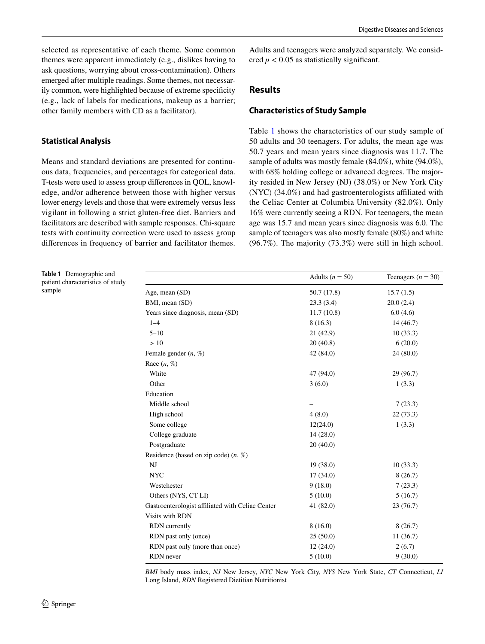selected as representative of each theme. Some common themes were apparent immediately (e.g., dislikes having to ask questions, worrying about cross-contamination). Others emerged after multiple readings. Some themes, not necessarily common, were highlighted because of extreme specifcity (e.g., lack of labels for medications, makeup as a barrier; other family members with CD as a facilitator).

## **Statistical Analysis**

Means and standard deviations are presented for continuous data, frequencies, and percentages for categorical data. T-tests were used to assess group diferences in QOL, knowledge, and/or adherence between those with higher versus lower energy levels and those that were extremely versus less vigilant in following a strict gluten-free diet. Barriers and facilitators are described with sample responses. Chi-square tests with continuity correction were used to assess group diferences in frequency of barrier and facilitator themes.

<span id="page-3-0"></span>**Table 1** Demographic and patient characteristics of study sample

Adults and teenagers were analyzed separately. We considered  $p < 0.05$  as statistically significant.

## **Results**

#### **Characteristics of Study Sample**

Table [1](#page-3-0) shows the characteristics of our study sample of 50 adults and 30 teenagers. For adults, the mean age was 50.7 years and mean years since diagnosis was 11.7. The sample of adults was mostly female (84.0%), white (94.0%), with 68% holding college or advanced degrees. The majority resided in New Jersey (NJ) (38.0%) or New York City (NYC) (34.0%) and had gastroenterologists afliated with the Celiac Center at Columbia University (82.0%). Only 16% were currently seeing a RDN. For teenagers, the mean age was 15.7 and mean years since diagnosis was 6.0. The sample of teenagers was also mostly female (80%) and white (96.7%). The majority (73.3%) were still in high school.

|                                                  | Adults ( $n = 50$ ) | Teenagers ( $n = 30$ ) |
|--------------------------------------------------|---------------------|------------------------|
| Age, mean (SD)                                   | 50.7 (17.8)         | 15.7(1.5)              |
| BMI, mean (SD)                                   | 23.3(3.4)           | 20.0(2.4)              |
| Years since diagnosis, mean (SD)                 | 11.7(10.8)          | 6.0(4.6)               |
| $1 - 4$                                          | 8(16.3)             | 14(46.7)               |
| $5 - 10$                                         | 21 (42.9)           | 10(33.3)               |
| >10                                              | 20(40.8)            | 6(20.0)                |
| Female gender $(n, %)$                           | 42(84.0)            | 24(80.0)               |
| Race $(n, \%)$                                   |                     |                        |
| White                                            | 47 (94.0)           | 29 (96.7)              |
| Other                                            | 3(6.0)              | 1(3.3)                 |
| Education                                        |                     |                        |
| Middle school                                    |                     | 7(23.3)                |
| High school                                      | 4(8.0)              | 22(73.3)               |
| Some college                                     | 12(24.0)            | 1(3.3)                 |
| College graduate                                 | 14(28.0)            |                        |
| Postgraduate                                     | 20(40.0)            |                        |
| Residence (based on zip code) $(n, %)$           |                     |                        |
| NJ                                               | 19(38.0)            | 10(33.3)               |
| <b>NYC</b>                                       | 17(34.0)            | 8(26.7)                |
| Westchester                                      | 9(18.0)             | 7(23.3)                |
| Others (NYS, CT LI)                              | 5(10.0)             | 5(16.7)                |
| Gastroenterologist affiliated with Celiac Center | 41(82.0)            | 23(76.7)               |
| Visits with RDN                                  |                     |                        |
| <b>RDN</b> currently                             | 8(16.0)             | 8(26.7)                |
| RDN past only (once)                             | 25(50.0)            | 11(36.7)               |
| RDN past only (more than once)                   | 12(24.0)            | 2(6.7)                 |
| RDN never                                        | 5(10.0)             | 9(30.0)                |

*BMI* body mass index, *NJ* New Jersey, *NYC* New York City, *NYS* New York State, *CT* Connecticut, *LI* Long Island, *RDN* Registered Dietitian Nutritionist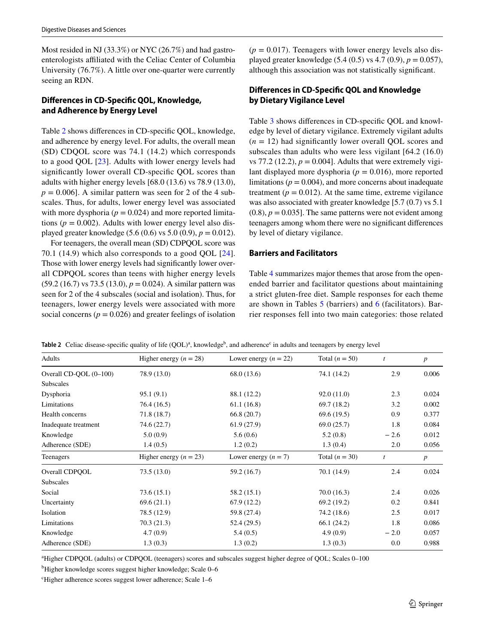Most resided in NJ (33.3%) or NYC (26.7%) and had gastroenterologists afliated with the Celiac Center of Columbia University (76.7%). A little over one-quarter were currently seeing an RDN.

## **Diferences in CD‑Specifc QOL, Knowledge, and Adherence by Energy Level**

Table [2](#page-4-0) shows diferences in CD-specifc QOL, knowledge, and adherence by energy level. For adults, the overall mean (SD) CDQOL score was 74.1 (14.2) which corresponds to a good QOL [\[23\]](#page-10-11). Adults with lower energy levels had signifcantly lower overall CD-specifc QOL scores than adults with higher energy levels [68.0 (13.6) vs 78.9 (13.0),  $p = 0.006$ . A similar pattern was seen for 2 of the 4 subscales. Thus, for adults, lower energy level was associated with more dysphoria ( $p = 0.024$ ) and more reported limitations ( $p = 0.002$ ). Adults with lower energy level also displayed greater knowledge  $(5.6 (0.6)$  vs  $5.0 (0.9)$ ,  $p = 0.012$ ).

For teenagers, the overall mean (SD) CDPQOL score was 70.1 (14.9) which also corresponds to a good QOL [[24](#page-10-12)]. Those with lower energy levels had signifcantly lower overall CDPQOL scores than teens with higher energy levels (59.2 (16.7) vs 73.5 (13.0), *p* = 0.024). A similar pattern was seen for 2 of the 4 subscales (social and isolation). Thus, for teenagers, lower energy levels were associated with more social concerns  $(p = 0.026)$  and greater feelings of isolation  $(p = 0.017)$ . Teenagers with lower energy levels also displayed greater knowledge (5.4 (0.5) vs 4.7 (0.9), *p* = 0.057), although this association was not statistically signifcant.

## **Diferences in CD‑Specifc QOL and Knowledge by Dietary Vigilance Level**

Table [3](#page-5-0) shows differences in CD-specific QOL and knowledge by level of dietary vigilance. Extremely vigilant adults  $(n = 12)$  had significantly lower overall QOL scores and subscales than adults who were less vigilant [64.2 (16.0) vs 77.2 (12.2),  $p = 0.004$ . Adults that were extremely vigilant displayed more dysphoria ( $p = 0.016$ ), more reported limitations ( $p = 0.004$ ), and more concerns about inadequate treatment ( $p = 0.012$ ). At the same time, extreme vigilance was also associated with greater knowledge [5.7 (0.7) vs 5.1  $(0.8)$ ,  $p = 0.035$ ]. The same patterns were not evident among teenagers among whom there were no signifcant diferences by level of dietary vigilance.

## **Barriers and Facilitators**

Table [4](#page-6-0) summarizes major themes that arose from the openended barrier and facilitator questions about maintaining a strict gluten-free diet. Sample responses for each theme are shown in Tables [5](#page-7-0) (barriers) and [6](#page-8-0) (facilitators). Barrier responses fell into two main categories: those related

<span id="page-4-0"></span>

|  | <b>Table 2</b> Celiac disease-specific quality of life $(QOL)^a$ , knowledge <sup>b</sup> , and adherence <sup>c</sup> in adults and teenagers by energy level |  |  |  |
|--|----------------------------------------------------------------------------------------------------------------------------------------------------------------|--|--|--|
|--|----------------------------------------------------------------------------------------------------------------------------------------------------------------|--|--|--|

| Adults                 | Higher energy $(n = 28)$ | Lower energy $(n = 22)$ | Total $(n = 50)$ | t      | $\boldsymbol{p}$ |
|------------------------|--------------------------|-------------------------|------------------|--------|------------------|
| Overall CD-QOL (0-100) | 78.9 (13.0)              | 68.0 (13.6)             | 74.1 (14.2)      | 2.9    | 0.006            |
| Subscales              |                          |                         |                  |        |                  |
| Dysphoria              | 95.1(9.1)                | 88.1 (12.2)             | 92.0(11.0)       | 2.3    | 0.024            |
| Limitations            | 76.4 (16.5)              | 61.1(16.8)              | 69.7 (18.2)      | 3.2    | 0.002            |
| Health concerns        | 71.8 (18.7)              | 66.8(20.7)              | 69.6(19.5)       | 0.9    | 0.377            |
| Inadequate treatment   | 74.6 (22.7)              | 61.9(27.9)              | 69.0(25.7)       | 1.8    | 0.084            |
| Knowledge              | 5.0(0.9)                 | 5.6(0.6)                | 5.2(0.8)         | $-2.6$ | 0.012            |
| Adherence (SDE)        | 1.4(0.5)                 | 1.2(0.2)                | 1.3(0.4)         | 2.0    | 0.056            |
| Teenagers              | Higher energy $(n = 23)$ | Lower energy $(n = 7)$  | Total $(n = 30)$ | t      | $\boldsymbol{p}$ |
| Overall CDPOOL         | 73.5(13.0)               | 59.2 (16.7)             | 70.1 (14.9)      | 2.4    | 0.024            |
| Subscales              |                          |                         |                  |        |                  |
| Social                 | 73.6(15.1)               | 58.2 (15.1)             | 70.0(16.3)       | 2.4    | 0.026            |
| Uncertainty            | 69.6(21.1)               | 67.9(12.2)              | 69.2(19.2)       | 0.2    | 0.841            |
| Isolation              | 78.5 (12.9)              | 59.8 (27.4)             | 74.2 (18.6)      | 2.5    | 0.017            |
| Limitations            | 70.3(21.3)               | 52.4(29.5)              | 66.1(24.2)       | 1.8    | 0.086            |
| Knowledge              | 4.7(0.9)                 | 5.4(0.5)                | 4.9(0.9)         | $-2.0$ | 0.057            |
| Adherence (SDE)        | 1.3(0.3)                 | 1.3(0.2)                | 1.3(0.3)         | 0.0    | 0.988            |
|                        |                          |                         |                  |        |                  |

a Higher CDPQOL (adults) or CDPQOL (teenagers) scores and subscales suggest higher degree of QOL; Scales 0–100

b Higher knowledge scores suggest higher knowledge; Scale 0–6

c Higher adherence scores suggest lower adherence; Scale 1–6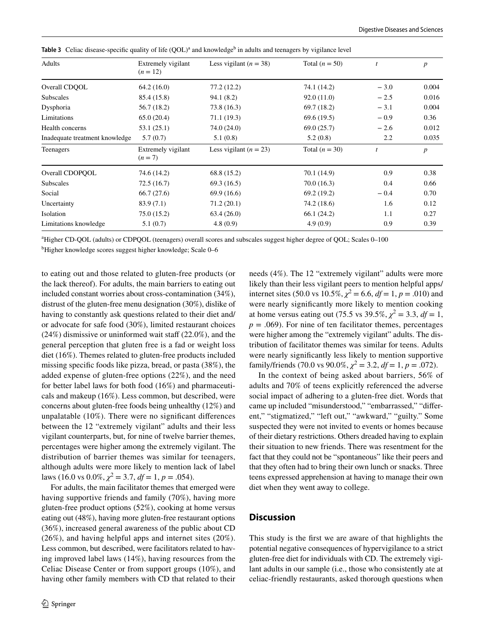| Adults                         | Extremely vigilant<br>$(n = 12)$ | Less vigilant ( $n = 38$ ) | Total $(n = 50)$ | t      | p                |
|--------------------------------|----------------------------------|----------------------------|------------------|--------|------------------|
| Overall CDOOL                  | 64.2(16.0)                       | 77.2 (12.2)                | 74.1 (14.2)      | $-3.0$ | 0.004            |
| Subscales                      | 85.4 (15.8)                      | 94.1 (8.2)                 | 92.0(11.0)       | $-2.5$ | 0.016            |
| Dysphoria                      | 56.7 (18.2)                      | 73.8 (16.3)                | 69.7 (18.2)      | $-3.1$ | 0.004            |
| Limitations                    | 65.0(20.4)                       | 71.1 (19.3)                | 69.6(19.5)       | $-0.9$ | 0.36             |
| Health concerns                | 53.1(25.1)                       | 74.0 (24.0)                | 69.0(25.7)       | $-2.6$ | 0.012            |
| Inadequate treatment knowledge | 5.7(0.7)                         | 5.1(0.8)                   | 5.2(0.8)         | 2.2    | 0.035            |
| Teenagers                      | Extremely vigilant<br>$(n = 7)$  | Less vigilant ( $n = 23$ ) | Total $(n = 30)$ | t      | $\boldsymbol{p}$ |
| Overall CDOPOOL                | 74.6 (14.2)                      | 68.8 (15.2)                | 70.1 (14.9)      | 0.9    | 0.38             |
| <b>Subscales</b>               | 72.5(16.7)                       | 69.3(16.5)                 | 70.0(16.3)       | 0.4    | 0.66             |
| Social                         | 66.7(27.6)                       | 69.9 (16.6)                | 69.2 (19.2)      | $-0.4$ | 0.70             |
| Uncertainty                    | 83.9(7.1)                        | 71.2(20.1)                 | 74.2 (18.6)      | 1.6    | 0.12             |
| Isolation                      | 75.0(15.2)                       | 63.4(26.0)                 | 66.1 (24.2)      | 1.1    | 0.27             |
| Limitations knowledge          | 5.1(0.7)                         | 4.8(0.9)                   | 4.9(0.9)         | 0.9    | 0.39             |

<span id="page-5-0"></span>**Table 3** Celiac disease-specific quality of life  $(QOL)^a$  and knowledge<sup>b</sup> in adults and teenagers by vigilance level

a Higher CD-QOL (adults) or CDPQOL (teenagers) overall scores and subscales suggest higher degree of QOL; Scales 0–100

b Higher knowledge scores suggest higher knowledge; Scale 0–6

to eating out and those related to gluten-free products (or the lack thereof). For adults, the main barriers to eating out included constant worries about cross-contamination (34%), distrust of the gluten-free menu designation (30%), dislike of having to constantly ask questions related to their diet and/ or advocate for safe food (30%), limited restaurant choices  $(24%)$  dismissive or uninformed wait staff  $(22.0%)$ , and the general perception that gluten free is a fad or weight loss diet (16%). Themes related to gluten-free products included missing specifc foods like pizza, bread, or pasta (38%), the added expense of gluten-free options (22%), and the need for better label laws for both food (16%) and pharmaceuticals and makeup (16%). Less common, but described, were concerns about gluten-free foods being unhealthy (12%) and unpalatable (10%). There were no signifcant diferences between the 12 "extremely vigilant" adults and their less vigilant counterparts, but, for nine of twelve barrier themes, percentages were higher among the extremely vigilant. The distribution of barrier themes was similar for teenagers, although adults were more likely to mention lack of label laws (16.0 vs  $0.0\%, \chi^2 = 3.7, df = 1, p = .054$ ).

For adults, the main facilitator themes that emerged were having supportive friends and family (70%), having more gluten-free product options (52%), cooking at home versus eating out (48%), having more gluten-free restaurant options (36%), increased general awareness of the public about CD (26%), and having helpful apps and internet sites (20%). Less common, but described, were facilitators related to having improved label laws (14%), having resources from the Celiac Disease Center or from support groups (10%), and having other family members with CD that related to their needs (4%). The 12 "extremely vigilant" adults were more likely than their less vigilant peers to mention helpful apps/ internet sites (50.0 vs  $10.5\%, \chi^2 = 6.6, df = 1, p = .010$ ) and were nearly signifcantly more likely to mention cooking at home versus eating out (75.5 vs 39.5%,  $\chi^2 = 3.3$ ,  $df = 1$ ,  $p = .069$ ). For nine of ten facilitator themes, percentages were higher among the "extremely vigilant" adults. The distribution of facilitator themes was similar for teens. Adults were nearly signifcantly less likely to mention supportive family/friends (70.0 vs 90.0%,  $\chi^2 = 3.2$ ,  $df = 1$ ,  $p = .072$ ).

In the context of being asked about barriers, 56% of adults and 70% of teens explicitly referenced the adverse social impact of adhering to a gluten-free diet. Words that came up included "misunderstood," "embarrassed," "diferent," "stigmatized," "left out," "awkward," "guilty." Some suspected they were not invited to events or homes because of their dietary restrictions. Others dreaded having to explain their situation to new friends. There was resentment for the fact that they could not be "spontaneous" like their peers and that they often had to bring their own lunch or snacks. Three teens expressed apprehension at having to manage their own diet when they went away to college.

## **Discussion**

This study is the frst we are aware of that highlights the potential negative consequences of hypervigilance to a strict gluten-free diet for individuals with CD. The extremely vigilant adults in our sample (i.e., those who consistently ate at celiac-friendly restaurants, asked thorough questions when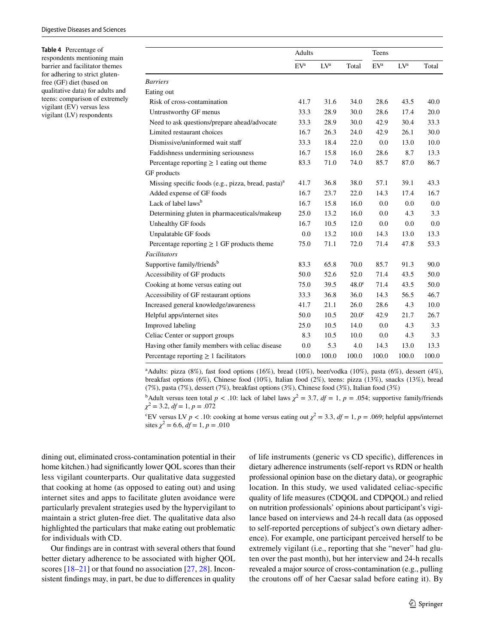<span id="page-6-0"></span>**Table 4** Percentage of respondents mentioning main barrier and facilitator themes for adhering to strict glutenfree (GF) diet (based on qualitative data) for adults and teens: comparison of extremely vigilant (EV) versus less vigilant (LV) respondents

|                                                         | Adults          |         |                   | Teens           |         |       |
|---------------------------------------------------------|-----------------|---------|-------------------|-----------------|---------|-------|
|                                                         | EV <sup>a</sup> | $L V^a$ | Total             | EV <sup>a</sup> | $L V^a$ | Total |
| <b>Barriers</b>                                         |                 |         |                   |                 |         |       |
| Eating out                                              |                 |         |                   |                 |         |       |
| Risk of cross-contamination                             | 41.7            | 31.6    | 34.0              | 28.6            | 43.5    | 40.0  |
| Untrustworthy GF menus                                  | 33.3            | 28.9    | 30.0              | 28.6            | 17.4    | 20.0  |
| Need to ask questions/prepare ahead/advocate            | 33.3            | 28.9    | 30.0              | 42.9            | 30.4    | 33.3  |
| Limited restaurant choices                              | 16.7            | 26.3    | 24.0              | 42.9            | 26.1    | 30.0  |
| Dismissive/uninformed wait staff                        | 33.3            | 18.4    | 22.0              | 0.0             | 13.0    | 10.0  |
| Faddishness undermining seriousness                     | 16.7            | 15.8    | 16.0              | 28.6            | 8.7     | 13.3  |
| Percentage reporting $\geq 1$ eating out theme          | 83.3            | 71.0    | 74.0              | 85.7            | 87.0    | 86.7  |
| GF products                                             |                 |         |                   |                 |         |       |
| Missing specific foods (e.g., pizza, bread, pasta) $aa$ | 41.7            | 36.8    | 38.0              | 57.1            | 39.1    | 43.3  |
| Added expense of GF foods                               | 16.7            | 23.7    | 22.0              | 14.3            | 17.4    | 16.7  |
| Lack of label laws <sup>b</sup>                         |                 | 15.8    | 16.0              | 0.0             | 0.0     | 0.0   |
| Determining gluten in pharmaceuticals/makeup            |                 | 13.2    | 16.0              | 0.0             | 4.3     | 3.3   |
| Unhealthy GF foods                                      | 16.7            | 10.5    | 12.0              | 0.0             | 0.0     | 0.0   |
| Unpalatable GF foods                                    | 0.0             | 13.2    | 10.0              | 14.3            | 13.0    | 13.3  |
| Percentage reporting $\geq 1$ GF products theme         | 75.0            | 71.1    | 72.0              | 71.4            | 47.8    | 53.3  |
| Facilitators                                            |                 |         |                   |                 |         |       |
| Supportive family/friends <sup>b</sup>                  | 83.3            | 65.8    | 70.0              | 85.7            | 91.3    | 90.0  |
| Accessibility of GF products                            | 50.0            | 52.6    | 52.0              | 71.4            | 43.5    | 50.0  |
| Cooking at home versus eating out                       | 75.0            | 39.5    | $48.0^\circ$      | 71.4            | 43.5    | 50.0  |
| Accessibility of GF restaurant options                  | 33.3            | 36.8    | 36.0              | 14.3            | 56.5    | 46.7  |
| Increased general knowledge/awareness                   | 41.7            | 21.1    | 26.0              | 28.6            | 4.3     | 10.0  |
| Helpful apps/internet sites                             | 50.0            | 10.5    | 20.0 <sup>c</sup> | 42.9            | 21.7    | 26.7  |
| Improved labeling                                       | 25.0            | 10.5    | 14.0              | 0.0             | 4.3     | 3.3   |
| Celiac Center or support groups                         | 8.3             | 10.5    | 10.0              | 0.0             | 4.3     | 3.3   |
| Having other family members with celiac disease         | 0.0             | 5.3     | 4.0               | 14.3            | 13.0    | 13.3  |
| Percentage reporting $\geq 1$ facilitators              |                 | 100.0   | 100.0             | 100.0           | 100.0   | 100.0 |

a Adults: pizza (8%), fast food options (16%), bread (10%), beer/vodka (10%), pasta (6%), dessert (4%), breakfast options (6%), Chinese food (10%), Italian food (2%), teens: pizza (13%), snacks (13%), bread (7%), pasta (7%), dessert (7%), breakfast options (3%), Chinese food (3%), Italian food (3%)

<sup>b</sup>Adult versus teen total *p* < .10: lack of label laws  $\chi^2 = 3.7$ , *df* = 1, *p* = .054; supportive family/friends *χ*2 = 3.2, *df* = 1, *p* = .072

<sup>c</sup>EV versus LV *p* < .10: cooking at home versus eating out  $\chi^2 = 3.3$ ,  $df = 1$ , *p* = .069; helpful apps/internet sites  $\chi^2 = 6.6$ ,  $df = 1$ ,  $p = .010$ 

dining out, eliminated cross-contamination potential in their home kitchen.) had significantly lower QOL scores than their less vigilant counterparts. Our qualitative data suggested that cooking at home (as opposed to eating out) and using internet sites and apps to facilitate gluten avoidance were particularly prevalent strategies used by the hypervigilant to maintain a strict gluten-free diet. The qualitative data also highlighted the particulars that make eating out problematic for individuals with CD.

Our fndings are in contrast with several others that found better dietary adherence to be associated with higher QOL scores [[18–](#page-10-9)[21](#page-10-15)] or that found no association [[27,](#page-10-16) [28\]](#page-10-17). Inconsistent fndings may, in part, be due to diferences in quality of life instruments (generic vs CD specifc), diferences in dietary adherence instruments (self-report vs RDN or health professional opinion base on the dietary data), or geographic location. In this study, we used validated celiac-specifc quality of life measures (CDQOL and CDPQOL) and relied on nutrition professionals' opinions about participant's vigilance based on interviews and 24-h recall data (as opposed to self-reported perceptions of subject's own dietary adherence). For example, one participant perceived herself to be extremely vigilant (i.e., reporting that she "never" had gluten over the past month), but her interview and 24-h recalls revealed a major source of cross-contamination (e.g., pulling the croutons off of her Caesar salad before eating it). By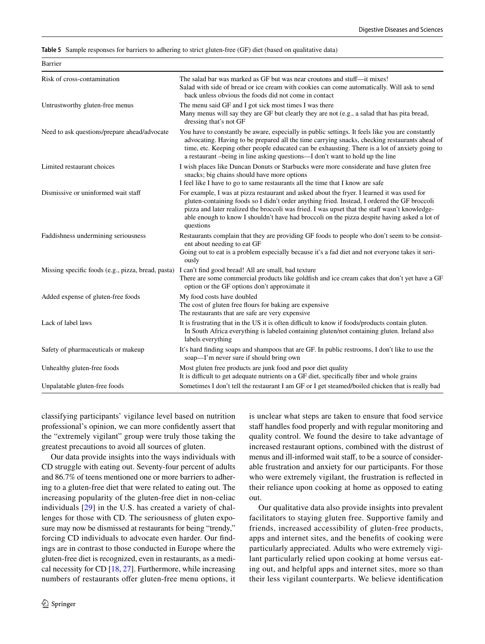<span id="page-7-0"></span>**Table 5** Sample responses for barriers to adhering to strict gluten-free (GF) diet (based on qualitative data)

| Risk of cross-contamination                  | The salad bar was marked as GF but was near croutons and stuff—it mixes!<br>Salad with side of bread or ice cream with cookies can come automatically. Will ask to send<br>back unless obvious the foods did not come in contact                                                                                                                                                                          |
|----------------------------------------------|-----------------------------------------------------------------------------------------------------------------------------------------------------------------------------------------------------------------------------------------------------------------------------------------------------------------------------------------------------------------------------------------------------------|
| Untrustworthy gluten-free menus              | The menu said GF and I got sick most times I was there<br>Many menus will say they are GF but clearly they are not (e.g., a salad that has pita bread,<br>dressing that's not GF                                                                                                                                                                                                                          |
| Need to ask questions/prepare ahead/advocate | You have to constantly be aware, especially in public settings. It feels like you are constantly<br>advocating. Having to be prepared all the time carrying snacks, checking restaurants ahead of<br>time, etc. Keeping other people educated can be exhausting. There is a lot of anxiety going to<br>a restaurant -being in line asking questions—I don't want to hold up the line                      |
| Limited restaurant choices                   | I wish places like Duncan Donuts or Starbucks were more considerate and have gluten free<br>snacks; big chains should have more options<br>I feel like I have to go to same restaurants all the time that I know are safe                                                                                                                                                                                 |
| Dismissive or uninformed wait staff          | For example, I was at pizza restaurant and asked about the fryer. I learned it was used for<br>gluten-containing foods so I didn't order anything fried. Instead, I ordered the GF broccoli<br>pizza and later realized the broccoli was fried. I was upset that the staff wasn't knowledge-<br>able enough to know I shouldn't have had broccoli on the pizza despite having asked a lot of<br>questions |
| Faddishness undermining seriousness          | Restaurants complain that they are providing GF foods to people who don't seem to be consist-<br>ent about needing to eat GF<br>Going out to eat is a problem especially because it's a fad diet and not everyone takes it seri-<br>ously                                                                                                                                                                 |
|                                              | Missing specific foods (e.g., pizza, bread, pasta) I can't find good bread! All are small, bad texture<br>There are some commercial products like goldfish and ice cream cakes that don't yet have a GF<br>option or the GF options don't approximate it                                                                                                                                                  |
| Added expense of gluten-free foods           | My food costs have doubled<br>The cost of gluten free flours for baking are expensive<br>The restaurants that are safe are very expensive                                                                                                                                                                                                                                                                 |
| Lack of label laws                           | It is frustrating that in the US it is often difficult to know if foods/products contain gluten.<br>In South Africa everything is labeled containing gluten/not containing gluten. Ireland also<br>labels everything                                                                                                                                                                                      |
| Safety of pharmaceuticals or makeup          | It's hard finding soaps and shampoos that are GF. In public restrooms, I don't like to use the<br>soap—I'm never sure if should bring own                                                                                                                                                                                                                                                                 |
| Unhealthy gluten-free foods                  | Most gluten free products are junk food and poor diet quality<br>It is difficult to get adequate nutrients on a GF diet, specifically fiber and whole grains                                                                                                                                                                                                                                              |
| Unpalatable gluten-free foods                | Sometimes I don't tell the restaurant I am GF or I get steamed/boiled chicken that is really bad                                                                                                                                                                                                                                                                                                          |

classifying participants' vigilance level based on nutrition professional's opinion, we can more confdently assert that the "extremely vigilant" group were truly those taking the greatest precautions to avoid all sources of gluten.

Our data provide insights into the ways individuals with CD struggle with eating out. Seventy-four percent of adults and 86.7% of teens mentioned one or more barriers to adhering to a gluten-free diet that were related to eating out. The increasing popularity of the gluten-free diet in non-celiac individuals [[29\]](#page-10-18) in the U.S. has created a variety of challenges for those with CD. The seriousness of gluten exposure may now be dismissed at restaurants for being "trendy," forcing CD individuals to advocate even harder. Our fndings are in contrast to those conducted in Europe where the gluten-free diet is recognized, even in restaurants, as a medical necessity for CD [\[18](#page-10-9), [27](#page-10-16)]. Furthermore, while increasing numbers of restaurants offer gluten-free menu options, it

Barrier

is unclear what steps are taken to ensure that food service staff handles food properly and with regular monitoring and quality control. We found the desire to take advantage of increased restaurant options, combined with the distrust of menus and ill-informed wait staf, to be a source of considerable frustration and anxiety for our participants. For those who were extremely vigilant, the frustration is refected in their reliance upon cooking at home as opposed to eating out.

Our qualitative data also provide insights into prevalent facilitators to staying gluten free. Supportive family and friends, increased accessibility of gluten-free products, apps and internet sites, and the benefts of cooking were particularly appreciated. Adults who were extremely vigilant particularly relied upon cooking at home versus eating out, and helpful apps and internet sites, more so than their less vigilant counterparts. We believe identifcation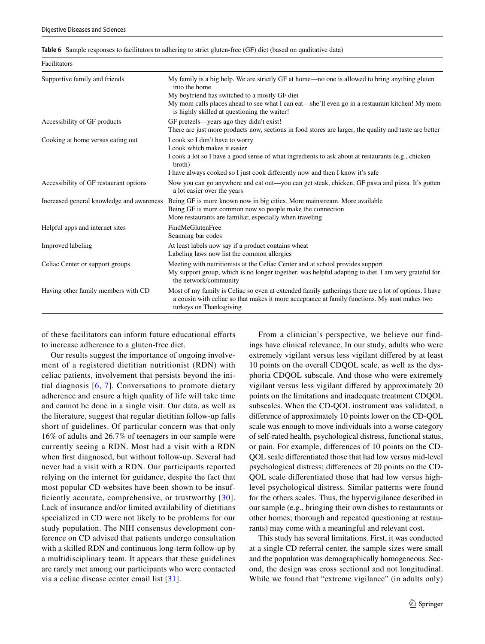<span id="page-8-0"></span>

|  |  |  |  |  |  | Table 6 Sample responses to facilitators to adhering to strict gluten-free (GF) diet (based on qualitative data) |
|--|--|--|--|--|--|------------------------------------------------------------------------------------------------------------------|
|--|--|--|--|--|--|------------------------------------------------------------------------------------------------------------------|

| Facilitators                              |                                                                                                                                                                                                                                                                                                                    |
|-------------------------------------------|--------------------------------------------------------------------------------------------------------------------------------------------------------------------------------------------------------------------------------------------------------------------------------------------------------------------|
| Supportive family and friends             | My family is a big help. We are strictly GF at home—no one is allowed to bring anything gluten<br>into the home<br>My boyfriend has switched to a mostly GF diet<br>My mom calls places ahead to see what I can eat—she'll even go in a restaurant kitchen! My mom<br>is highly skilled at questioning the waiter! |
| Accessibility of GF products              | GF pretzels—years ago they didn't exist!<br>There are just more products now, sections in food stores are larger, the quality and taste are better                                                                                                                                                                 |
| Cooking at home versus eating out         | I cook so I don't have to worry<br>I cook which makes it easier<br>I cook a lot so I have a good sense of what ingredients to ask about at restaurants (e.g., chicken<br>broth)<br>I have always cooked so I just cook differently now and then I know it's safe                                                   |
| Accessibility of GF restaurant options    | Now you can go anywhere and eat out—you can get steak, chicken, GF pasta and pizza. It's gotten<br>a lot easier over the years                                                                                                                                                                                     |
| Increased general knowledge and awareness | Being GF is more known now in big cities. More mainstream. More available<br>Being GF is more common now so people make the connection<br>More restaurants are familiar, especially when traveling                                                                                                                 |
| Helpful apps and internet sites           | <b>FindMeGlutenFree</b><br>Scanning bar codes                                                                                                                                                                                                                                                                      |
| Improved labeling                         | At least labels now say if a product contains wheat<br>Labeling laws now list the common allergies                                                                                                                                                                                                                 |
| Celiac Center or support groups           | Meeting with nutritionists at the Celiac Center and at school provides support<br>My support group, which is no longer together, was helpful adapting to diet. I am very grateful for<br>the network/community                                                                                                     |
| Having other family members with CD       | Most of my family is Celiac so even at extended family gatherings there are a lot of options. I have<br>a cousin with celiac so that makes it more acceptance at family functions. My aunt makes two<br>turkeys on Thanksgiving                                                                                    |

of these facilitators can inform future educational eforts to increase adherence to a gluten-free diet.

Our results suggest the importance of ongoing involvement of a registered dietitian nutritionist (RDN) with celiac patients, involvement that persists beyond the initial diagnosis [[6,](#page-10-1) [7\]](#page-10-2). Conversations to promote dietary adherence and ensure a high quality of life will take time and cannot be done in a single visit. Our data, as well as the literature, suggest that regular dietitian follow-up falls short of guidelines. Of particular concern was that only 16% of adults and 26.7% of teenagers in our sample were currently seeing a RDN. Most had a visit with a RDN when frst diagnosed, but without follow-up. Several had never had a visit with a RDN. Our participants reported relying on the internet for guidance, despite the fact that most popular CD websites have been shown to be insuf-ficiently accurate, comprehensive, or trustworthy [\[30](#page-10-19)]. Lack of insurance and/or limited availability of dietitians specialized in CD were not likely to be problems for our study population. The NIH consensus development conference on CD advised that patients undergo consultation with a skilled RDN and continuous long-term follow-up by a multidisciplinary team. It appears that these guidelines are rarely met among our participants who were contacted via a celiac disease center email list [\[31\]](#page-10-20).

From a clinician's perspective, we believe our findings have clinical relevance. In our study, adults who were extremely vigilant versus less vigilant difered by at least 10 points on the overall CDQOL scale, as well as the dysphoria CDQOL subscale. And those who were extremely vigilant versus less vigilant difered by approximately 20 points on the limitations and inadequate treatment CDQOL subscales. When the CD-QOL instrument was validated, a diference of approximately 10 points lower on the CD-QOL scale was enough to move individuals into a worse category of self-rated health, psychological distress, functional status, or pain. For example, diferences of 10 points on the CD-QOL scale diferentiated those that had low versus mid-level psychological distress; diferences of 20 points on the CD-QOL scale diferentiated those that had low versus highlevel psychological distress. Similar patterns were found for the others scales. Thus, the hypervigilance described in our sample (e.g., bringing their own dishes to restaurants or other homes; thorough and repeated questioning at restaurants) may come with a meaningful and relevant cost.

This study has several limitations. First, it was conducted at a single CD referral center, the sample sizes were small and the population was demographically homogeneous. Second, the design was cross sectional and not longitudinal. While we found that "extreme vigilance" (in adults only)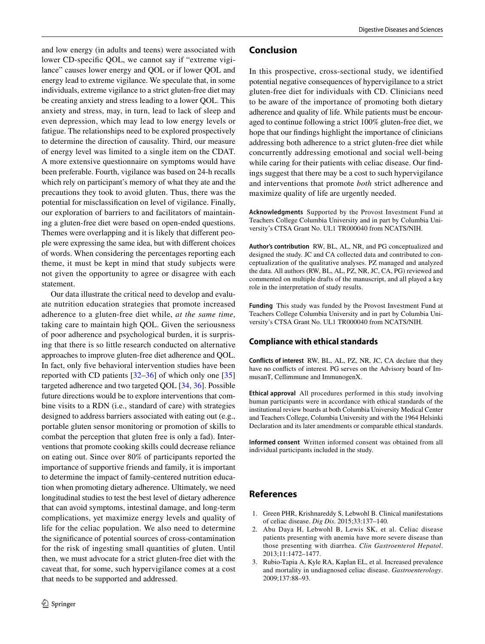and low energy (in adults and teens) were associated with lower CD-specifc QOL, we cannot say if "extreme vigilance" causes lower energy and QOL or if lower QOL and energy lead to extreme vigilance. We speculate that, in some individuals, extreme vigilance to a strict gluten-free diet may be creating anxiety and stress leading to a lower QOL. This anxiety and stress, may, in turn, lead to lack of sleep and even depression, which may lead to low energy levels or fatigue. The relationships need to be explored prospectively to determine the direction of causality. Third, our measure of energy level was limited to a single item on the CDAT. A more extensive questionnaire on symptoms would have been preferable. Fourth, vigilance was based on 24-h recalls which rely on participant's memory of what they ate and the precautions they took to avoid gluten. Thus, there was the potential for misclassifcation on level of vigilance. Finally, our exploration of barriers to and facilitators of maintaining a gluten-free diet were based on open-ended questions. Themes were overlapping and it is likely that diferent people were expressing the same idea, but with diferent choices of words. When considering the percentages reporting each theme, it must be kept in mind that study subjects were not given the opportunity to agree or disagree with each statement.

Our data illustrate the critical need to develop and evaluate nutrition education strategies that promote increased adherence to a gluten-free diet while, *at the same time*, taking care to maintain high QOL. Given the seriousness of poor adherence and psychological burden, it is surprising that there is so little research conducted on alternative approaches to improve gluten-free diet adherence and QOL. In fact, only fve behavioral intervention studies have been reported with CD patients  $[32-36]$  $[32-36]$  $[32-36]$  of which only one  $[35]$  $[35]$ targeted adherence and two targeted QOL [[34,](#page-10-24) [36\]](#page-10-22). Possible future directions would be to explore interventions that combine visits to a RDN (i.e., standard of care) with strategies designed to address barriers associated with eating out (e.g., portable gluten sensor monitoring or promotion of skills to combat the perception that gluten free is only a fad). Interventions that promote cooking skills could decrease reliance on eating out. Since over 80% of participants reported the importance of supportive friends and family, it is important to determine the impact of family-centered nutrition education when promoting dietary adherence. Ultimately, we need longitudinal studies to test the best level of dietary adherence that can avoid symptoms, intestinal damage, and long-term complications, yet maximize energy levels and quality of life for the celiac population. We also need to determine the signifcance of potential sources of cross-contamination for the risk of ingesting small quantities of gluten. Until then, we must advocate for a strict gluten-free diet with the caveat that, for some, such hypervigilance comes at a cost that needs to be supported and addressed.

#### **Conclusion**

In this prospective, cross-sectional study, we identified potential negative consequences of hypervigilance to a strict gluten-free diet for individuals with CD. Clinicians need to be aware of the importance of promoting both dietary adherence and quality of life. While patients must be encouraged to continue following a strict 100% gluten-free diet, we hope that our fndings highlight the importance of clinicians addressing both adherence to a strict gluten-free diet while concurrently addressing emotional and social well-being while caring for their patients with celiac disease. Our fndings suggest that there may be a cost to such hypervigilance and interventions that promote *both* strict adherence and maximize quality of life are urgently needed.

**Acknowledgments** Supported by the Provost Investment Fund at Teachers College Columbia University and in part by Columbia University's CTSA Grant No. UL1 TR000040 from NCATS/NIH.

**Author's contribution** RW, BL, AL, NR, and PG conceptualized and designed the study. JC and CA collected data and contributed to conceptualization of the qualitative analyses. PZ managed and analyzed the data. All authors (RW, BL, AL, PZ, NR, JC, CA, PG) reviewed and commented on multiple drafts of the manuscript, and all played a key role in the interpretation of study results.

**Funding** This study was funded by the Provost Investment Fund at Teachers College Columbia University and in part by Columbia University's CTSA Grant No. UL1 TR000040 from NCATS/NIH.

#### **Compliance with ethical standards**

**Conflicts of interest** RW, BL, AL, PZ, NR, JC, CA declare that they have no conficts of interest. PG serves on the Advisory board of ImmusanT, Cellimmune and ImmunogenX.

**Ethical approval** All procedures performed in this study involving human participants were in accordance with ethical standards of the institutional review boards at both Columbia University Medical Center and Teachers College, Columbia University and with the 1964 Helsinki Declaration and its later amendments or comparable ethical standards.

**Informed consent** Written informed consent was obtained from all individual participants included in the study.

## **References**

- <span id="page-9-0"></span>1. Green PHR, Krishnareddy S, Lebwohl B. Clinical manifestations of celiac disease. *Dig Dis*. 2015;33:137–140.
- <span id="page-9-1"></span>2. Abu Daya H, Lebwohl B, Lewis SK, et al. Celiac disease patients presenting with anemia have more severe disease than those presenting with diarrhea. *Clin Gastroenterol Hepatol*. 2013;11:1472–1477.
- <span id="page-9-2"></span>3. Rubio-Tapia A, Kyle RA, Kaplan EL, et al. Increased prevalence and mortality in undiagnosed celiac disease. *Gastroenterology*. 2009;137:88–93.